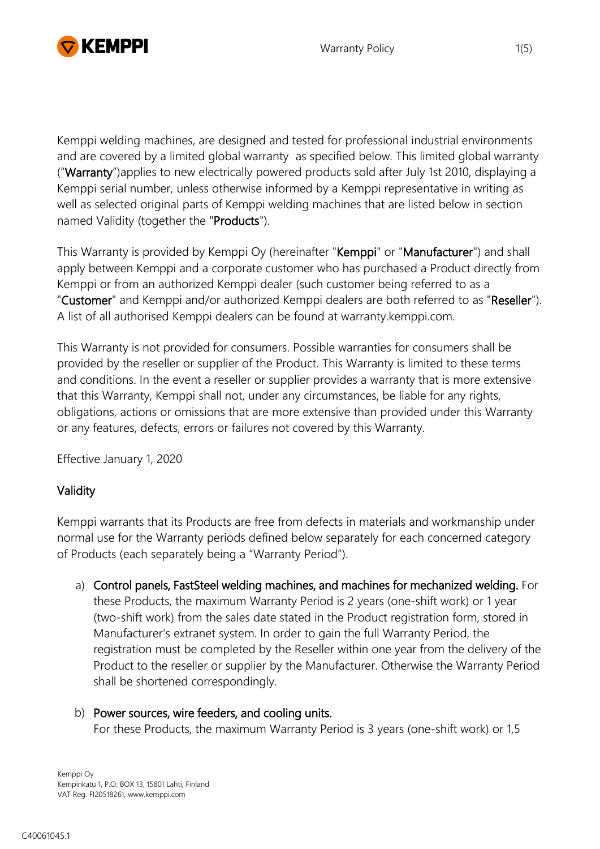

Kemppi welding machines, are designed and tested for professional industrial environments and are covered by a limited global warranty as specified below. This limited global warranty ("Warranty")applies to new electrically powered products sold after July 1st 2010, displaying a Kemppi serial number, unless otherwise informed by a Kemppi representative in writing as well as selected original parts of Kemppi welding machines that are listed below in section named Validity (together the "Products").

This Warranty is provided by Kemppi Oy (hereinafter "Kemppi" or "Manufacturer") and shall apply between Kemppi and a corporate customer who has purchased a Product directly from Kemppi or from an authorized Kemppi dealer (such customer being referred to as a "Customer" and Kemppi and/or authorized Kemppi dealers are both referred to as "Reseller"). A list of all authorised Kemppi dealers can be found at warranty.kemppi.com.

This Warranty is not provided for consumers. Possible warranties for consumers shall be provided by the reseller or supplier of the Product. This Warranty is limited to these terms and conditions. In the event a reseller or supplier provides a warranty that is more extensive that this Warranty, Kemppi shall not, under any circumstances, be liable for any rights, obligations, actions or omissions that are more extensive than provided under this Warranty or any features, defects, errors or failures not covered by this Warranty.

Effective January 1, 2020

## Validity

Kemppi warrants that its Products are free from defects in materials and workmanship under normal use for the Warranty periods defined below separately for each concerned category of Products (each separately being a "Warranty Period").

a) Control panels, FastSteel welding machines, and machines for mechanized welding. For these Products, the maximum Warranty Period is 2 years (one-shift work) or 1 year (two-shift work) from the sales date stated in the Product registration form, stored in Manufacturer's extranet system. In order to gain the full Warranty Period, the registration must be completed by the Reseller within one year from the delivery of the Product to the reseller or supplier by the Manufacturer. Otherwise the Warranty Period shall be shortened correspondingly.

# b) Power sources, wire feeders, and cooling units.

For these Products, the maximum Warranty Period is 3 years (one-shift work) or 1,5

Kemppi Oy Kempinkatu 1, P.O. BOX 13, 15801 Lahti, Finland VAT Reg. FI20518261, www.kemppi.com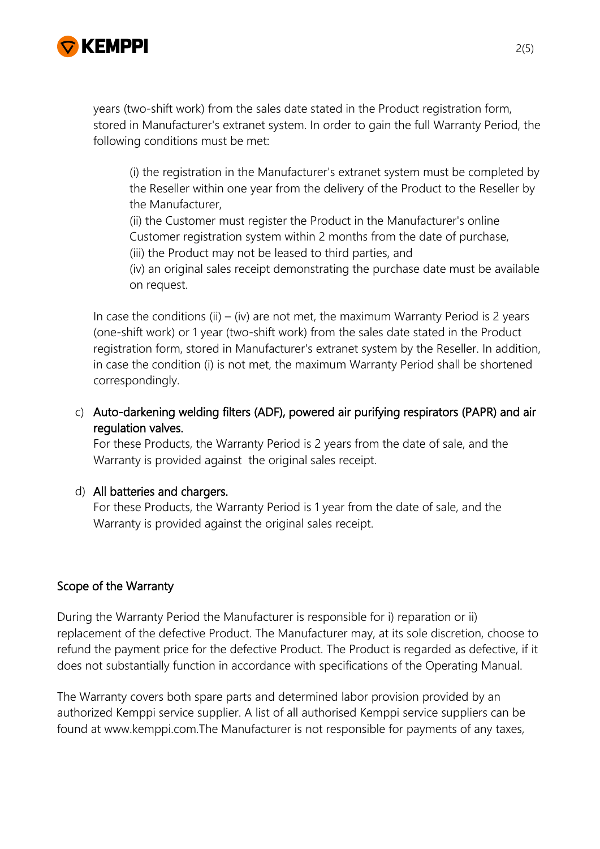

years (two-shift work) from the sales date stated in the Product registration form, stored in Manufacturer's extranet system. In order to gain the full Warranty Period, the following conditions must be met:

(i) the registration in the Manufacturer's extranet system must be completed by the Reseller within one year from the delivery of the Product to the Reseller by the Manufacturer,

(ii) the Customer must register the Product in the Manufacturer's online

Customer registration system within 2 months from the date of purchase,

(iii) the Product may not be leased to third parties, and

(iv) an original sales receipt demonstrating the purchase date must be available on request.

In case the conditions (ii) – (iv) are not met, the maximum Warranty Period is 2 years (one-shift work) or 1 year (two-shift work) from the sales date stated in the Product registration form, stored in Manufacturer's extranet system by the Reseller. In addition, in case the condition (i) is not met, the maximum Warranty Period shall be shortened correspondingly.

c) Auto-darkening welding filters (ADF), powered air purifying respirators (PAPR) and air regulation valves.

For these Products, the Warranty Period is 2 years from the date of sale, and the Warranty is provided against the original sales receipt.

## d) All batteries and chargers.

For these Products, the Warranty Period is 1 year from the date of sale, and the Warranty is provided against the original sales receipt.

## Scope of the Warranty

During the Warranty Period the Manufacturer is responsible for i) reparation or ii) replacement of the defective Product. The Manufacturer may, at its sole discretion, choose to refund the payment price for the defective Product. The Product is regarded as defective, if it does not substantially function in accordance with specifications of the Operating Manual.

The Warranty covers both spare parts and determined labor provision provided by an authorized Kemppi service supplier. A list of all authorised Kemppi service suppliers can be found at www.kemppi.com.The Manufacturer is not responsible for payments of any taxes,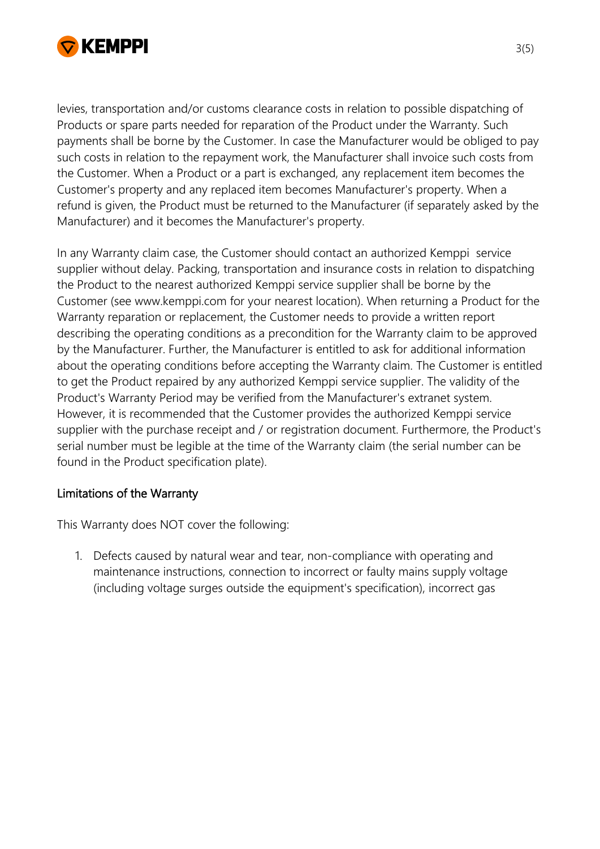

levies, transportation and/or customs clearance costs in relation to possible dispatching of Products or spare parts needed for reparation of the Product under the Warranty. Such payments shall be borne by the Customer. In case the Manufacturer would be obliged to pay such costs in relation to the repayment work, the Manufacturer shall invoice such costs from the Customer. When a Product or a part is exchanged, any replacement item becomes the Customer's property and any replaced item becomes Manufacturer's property. When a refund is given, the Product must be returned to the Manufacturer (if separately asked by the Manufacturer) and it becomes the Manufacturer's property.

In any Warranty claim case, the Customer should contact an authorized Kemppi service supplier without delay. Packing, transportation and insurance costs in relation to dispatching the Product to the nearest authorized Kemppi service supplier shall be borne by the Customer (see www.kemppi.com for your nearest location). When returning a Product for the Warranty reparation or replacement, the Customer needs to provide a written report describing the operating conditions as a precondition for the Warranty claim to be approved by the Manufacturer. Further, the Manufacturer is entitled to ask for additional information about the operating conditions before accepting the Warranty claim. The Customer is entitled to get the Product repaired by any authorized Kemppi service supplier. The validity of the Product's Warranty Period may be verified from the Manufacturer's extranet system. However, it is recommended that the Customer provides the authorized Kemppi service supplier with the purchase receipt and / or registration document. Furthermore, the Product's serial number must be legible at the time of the Warranty claim (the serial number can be found in the Product specification plate).

## Limitations of the Warranty

This Warranty does NOT cover the following:

1. Defects caused by natural wear and tear, non-compliance with operating and maintenance instructions, connection to incorrect or faulty mains supply voltage (including voltage surges outside the equipment's specification), incorrect gas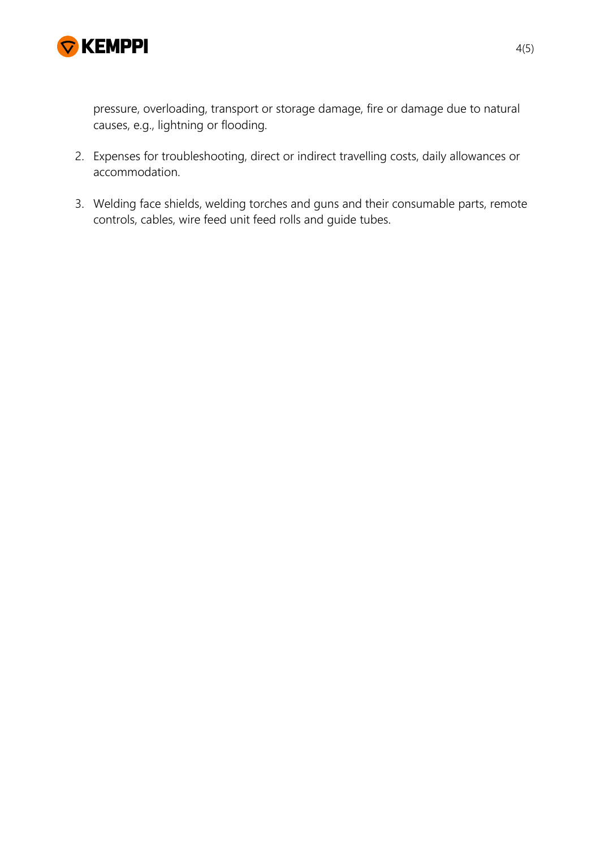

pressure, overloading, transport or storage damage, fire or damage due to natural causes, e.g., lightning or flooding.

- 2. Expenses for troubleshooting, direct or indirect travelling costs, daily allowances or accommodation.
- 3. Welding face shields, welding torches and guns and their consumable parts, remote controls, cables, wire feed unit feed rolls and guide tubes.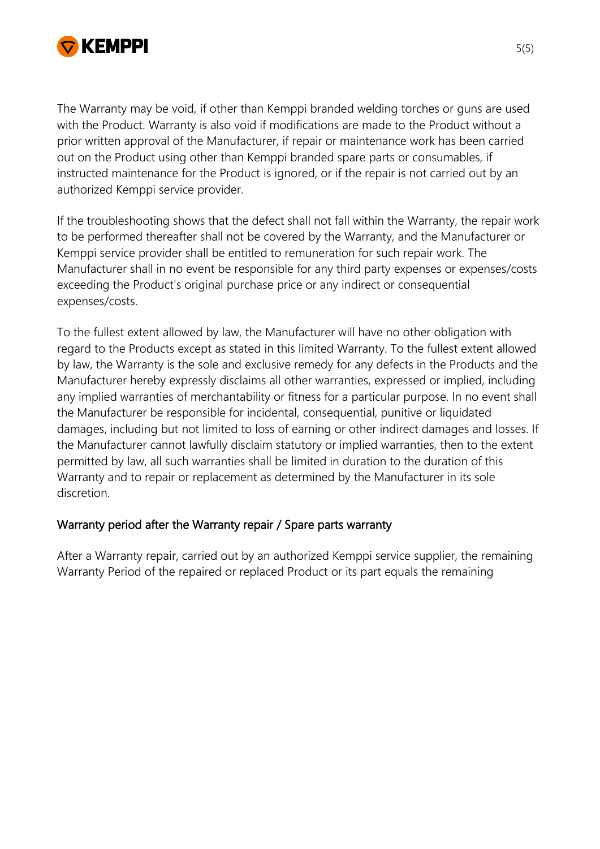

The Warranty may be void, if other than Kemppi branded welding torches or guns are used with the Product. Warranty is also void if modifications are made to the Product without a prior written approval of the Manufacturer, if repair or maintenance work has been carried out on the Product using other than Kemppi branded spare parts or consumables, if instructed maintenance for the Product is ignored, or if the repair is not carried out by an authorized Kemppi service provider.

If the troubleshooting shows that the defect shall not fall within the Warranty, the repair work to be performed thereafter shall not be covered by the Warranty, and the Manufacturer or Kemppi service provider shall be entitled to remuneration for such repair work. The Manufacturer shall in no event be responsible for any third party expenses or expenses/costs exceeding the Product's original purchase price or any indirect or consequential expenses/costs.

To the fullest extent allowed by law, the Manufacturer will have no other obligation with regard to the Products except as stated in this limited Warranty. To the fullest extent allowed by law, the Warranty is the sole and exclusive remedy for any defects in the Products and the Manufacturer hereby expressly disclaims all other warranties, expressed or implied, including any implied warranties of merchantability or fitness for a particular purpose. In no event shall the Manufacturer be responsible for incidental, consequential, punitive or liquidated damages, including but not limited to loss of earning or other indirect damages and losses. If the Manufacturer cannot lawfully disclaim statutory or implied warranties, then to the extent permitted by law, all such warranties shall be limited in duration to the duration of this Warranty and to repair or replacement as determined by the Manufacturer in its sole discretion.

## Warranty period after the Warranty repair / Spare parts warranty

After a Warranty repair, carried out by an authorized Kemppi service supplier, the remaining Warranty Period of the repaired or replaced Product or its part equals the remaining